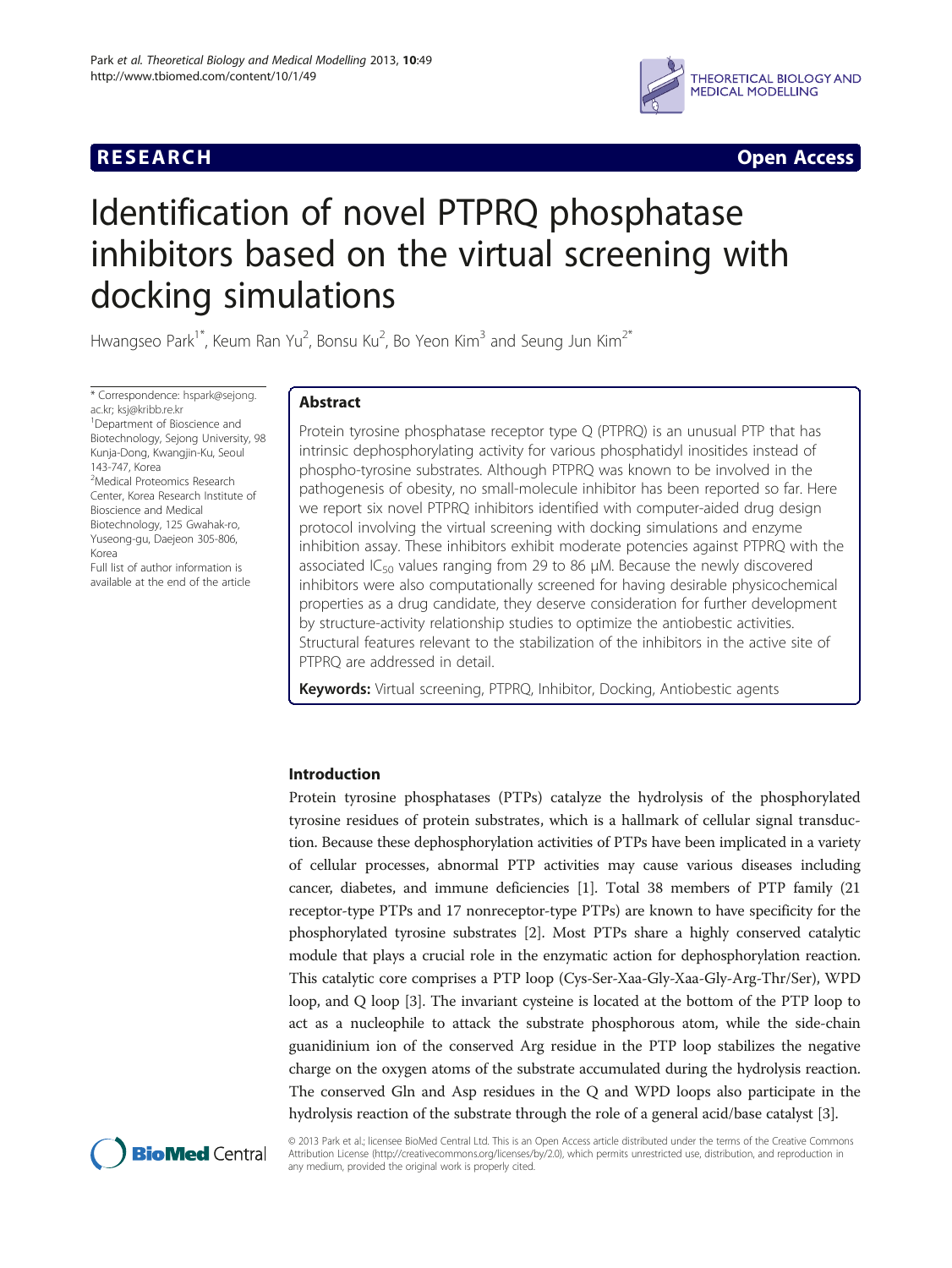## **RESEARCH RESEARCH** *CHECKER CHECKER CHECKER CHECKER CHECKER CHECKER CHECKER CHECKER CHECKER CHECKER CHECKER*



# Identification of novel PTPRQ phosphatase inhibitors based on the virtual screening with docking simulations

Hwangseo Park<sup>1\*</sup>, Keum Ran Yu<sup>2</sup>, Bonsu Ku<sup>2</sup>, Bo Yeon Kim<sup>3</sup> and Seung Jun Kim<sup>2\*</sup>

\* Correspondence: [hspark@sejong.](mailto:hspark@sejong.ac.kr) [ac.kr;](mailto:hspark@sejong.ac.kr) [ksj@kribb.re.kr](mailto:ksj@kribb.re.kr) <sup>1</sup> <sup>1</sup>Department of Bioscience and Biotechnology, Sejong University, 98 Kunja-Dong, Kwangjin-Ku, Seoul 143-747, Korea <sup>2</sup>Medical Proteomics Research Center, Korea Research Institute of Bioscience and Medical Biotechnology, 125 Gwahak-ro, Yuseong-gu, Daejeon 305-806, Korea Full list of author information is

available at the end of the article

## Abstract

Protein tyrosine phosphatase receptor type Q (PTPRQ) is an unusual PTP that has intrinsic dephosphorylating activity for various phosphatidyl inositides instead of phospho-tyrosine substrates. Although PTPRQ was known to be involved in the pathogenesis of obesity, no small-molecule inhibitor has been reported so far. Here we report six novel PTPRQ inhibitors identified with computer-aided drug design protocol involving the virtual screening with docking simulations and enzyme inhibition assay. These inhibitors exhibit moderate potencies against PTPRQ with the associated IC<sub>50</sub> values ranging from 29 to 86  $\mu$ M. Because the newly discovered inhibitors were also computationally screened for having desirable physicochemical properties as a drug candidate, they deserve consideration for further development by structure-activity relationship studies to optimize the antiobestic activities. Structural features relevant to the stabilization of the inhibitors in the active site of PTPRQ are addressed in detail.

Keywords: Virtual screening, PTPRQ, Inhibitor, Docking, Antiobestic agents

## Introduction

Protein tyrosine phosphatases (PTPs) catalyze the hydrolysis of the phosphorylated tyrosine residues of protein substrates, which is a hallmark of cellular signal transduction. Because these dephosphorylation activities of PTPs have been implicated in a variety of cellular processes, abnormal PTP activities may cause various diseases including cancer, diabetes, and immune deficiencies [\[1](#page-9-0)]. Total 38 members of PTP family (21 receptor-type PTPs and 17 nonreceptor-type PTPs) are known to have specificity for the phosphorylated tyrosine substrates [\[2\]](#page-9-0). Most PTPs share a highly conserved catalytic module that plays a crucial role in the enzymatic action for dephosphorylation reaction. This catalytic core comprises a PTP loop (Cys-Ser-Xaa-Gly-Xaa-Gly-Arg-Thr/Ser), WPD loop, and Q loop [\[3](#page-9-0)]. The invariant cysteine is located at the bottom of the PTP loop to act as a nucleophile to attack the substrate phosphorous atom, while the side-chain guanidinium ion of the conserved Arg residue in the PTP loop stabilizes the negative charge on the oxygen atoms of the substrate accumulated during the hydrolysis reaction. The conserved Gln and Asp residues in the Q and WPD loops also participate in the hydrolysis reaction of the substrate through the role of a general acid/base catalyst [[3\]](#page-9-0).



© 2013 Park et al.; licensee BioMed Central Ltd. This is an Open Access article distributed under the terms of the Creative Commons Attribution License (<http://creativecommons.org/licenses/by/2.0>), which permits unrestricted use, distribution, and reproduction in any medium, provided the original work is properly cited.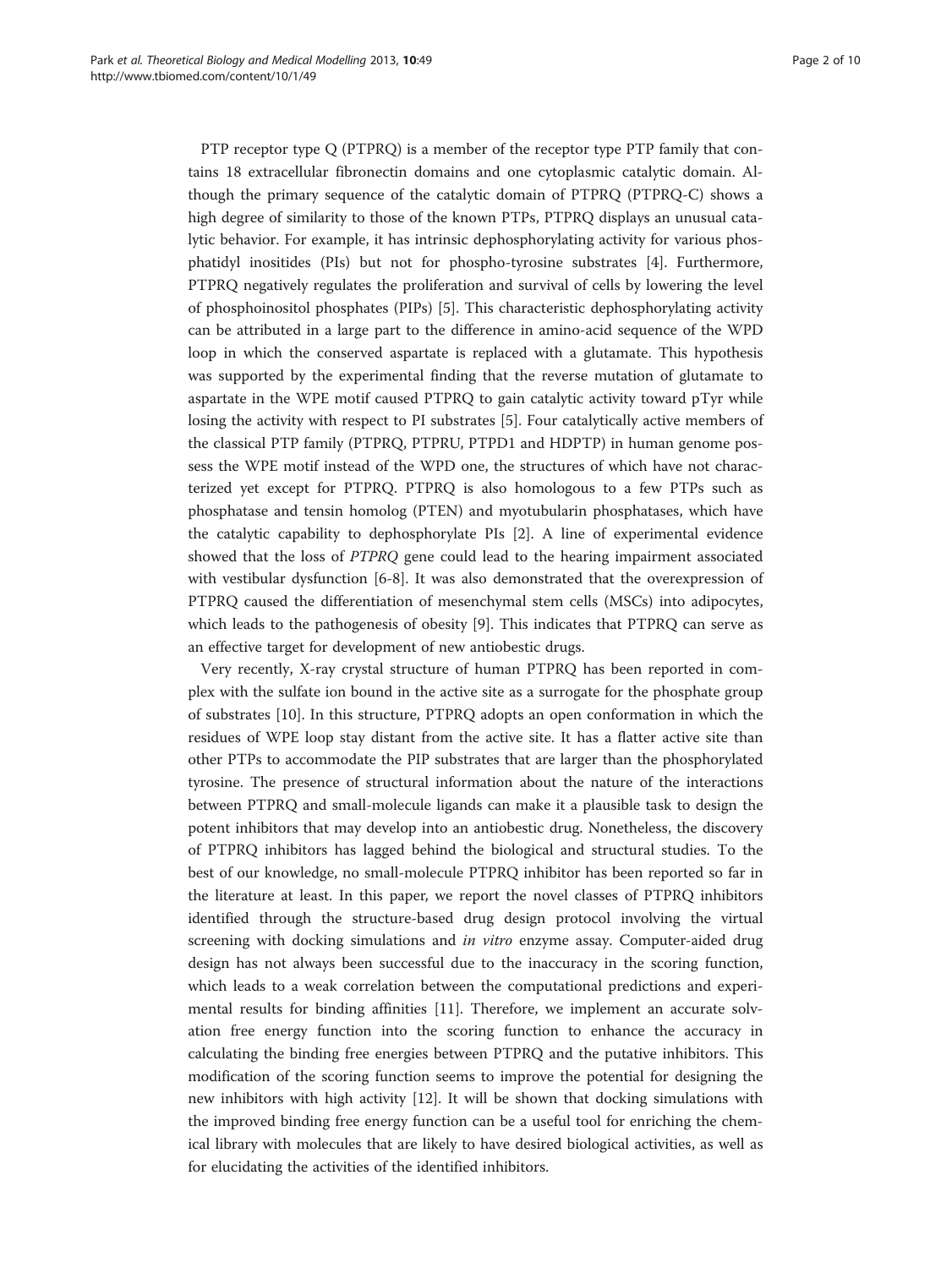PTP receptor type Q (PTPRQ) is a member of the receptor type PTP family that contains 18 extracellular fibronectin domains and one cytoplasmic catalytic domain. Although the primary sequence of the catalytic domain of PTPRQ (PTPRQ-C) shows a high degree of similarity to those of the known PTPs, PTPRQ displays an unusual catalytic behavior. For example, it has intrinsic dephosphorylating activity for various phosphatidyl inositides (PIs) but not for phospho-tyrosine substrates [[4](#page-9-0)]. Furthermore, PTPRQ negatively regulates the proliferation and survival of cells by lowering the level of phosphoinositol phosphates (PIPs) [\[5](#page-9-0)]. This characteristic dephosphorylating activity can be attributed in a large part to the difference in amino-acid sequence of the WPD loop in which the conserved aspartate is replaced with a glutamate. This hypothesis was supported by the experimental finding that the reverse mutation of glutamate to aspartate in the WPE motif caused PTPRQ to gain catalytic activity toward pTyr while losing the activity with respect to PI substrates [\[5](#page-9-0)]. Four catalytically active members of the classical PTP family (PTPRQ, PTPRU, PTPD1 and HDPTP) in human genome possess the WPE motif instead of the WPD one, the structures of which have not characterized yet except for PTPRQ. PTPRQ is also homologous to a few PTPs such as phosphatase and tensin homolog (PTEN) and myotubularin phosphatases, which have the catalytic capability to dephosphorylate PIs [\[2\]](#page-9-0). A line of experimental evidence showed that the loss of PTPRQ gene could lead to the hearing impairment associated with vestibular dysfunction [\[6](#page-9-0)-[8\]](#page-9-0). It was also demonstrated that the overexpression of PTPRQ caused the differentiation of mesenchymal stem cells (MSCs) into adipocytes, which leads to the pathogenesis of obesity [[9\]](#page-9-0). This indicates that PTPRQ can serve as an effective target for development of new antiobestic drugs.

Very recently, X-ray crystal structure of human PTPRQ has been reported in complex with the sulfate ion bound in the active site as a surrogate for the phosphate group of substrates [[10\]](#page-9-0). In this structure, PTPRQ adopts an open conformation in which the residues of WPE loop stay distant from the active site. It has a flatter active site than other PTPs to accommodate the PIP substrates that are larger than the phosphorylated tyrosine. The presence of structural information about the nature of the interactions between PTPRQ and small-molecule ligands can make it a plausible task to design the potent inhibitors that may develop into an antiobestic drug. Nonetheless, the discovery of PTPRQ inhibitors has lagged behind the biological and structural studies. To the best of our knowledge, no small-molecule PTPRQ inhibitor has been reported so far in the literature at least. In this paper, we report the novel classes of PTPRQ inhibitors identified through the structure-based drug design protocol involving the virtual screening with docking simulations and *in vitro* enzyme assay. Computer-aided drug design has not always been successful due to the inaccuracy in the scoring function, which leads to a weak correlation between the computational predictions and experimental results for binding affinities [[11\]](#page-9-0). Therefore, we implement an accurate solvation free energy function into the scoring function to enhance the accuracy in calculating the binding free energies between PTPRQ and the putative inhibitors. This modification of the scoring function seems to improve the potential for designing the new inhibitors with high activity [\[12\]](#page-9-0). It will be shown that docking simulations with the improved binding free energy function can be a useful tool for enriching the chemical library with molecules that are likely to have desired biological activities, as well as for elucidating the activities of the identified inhibitors.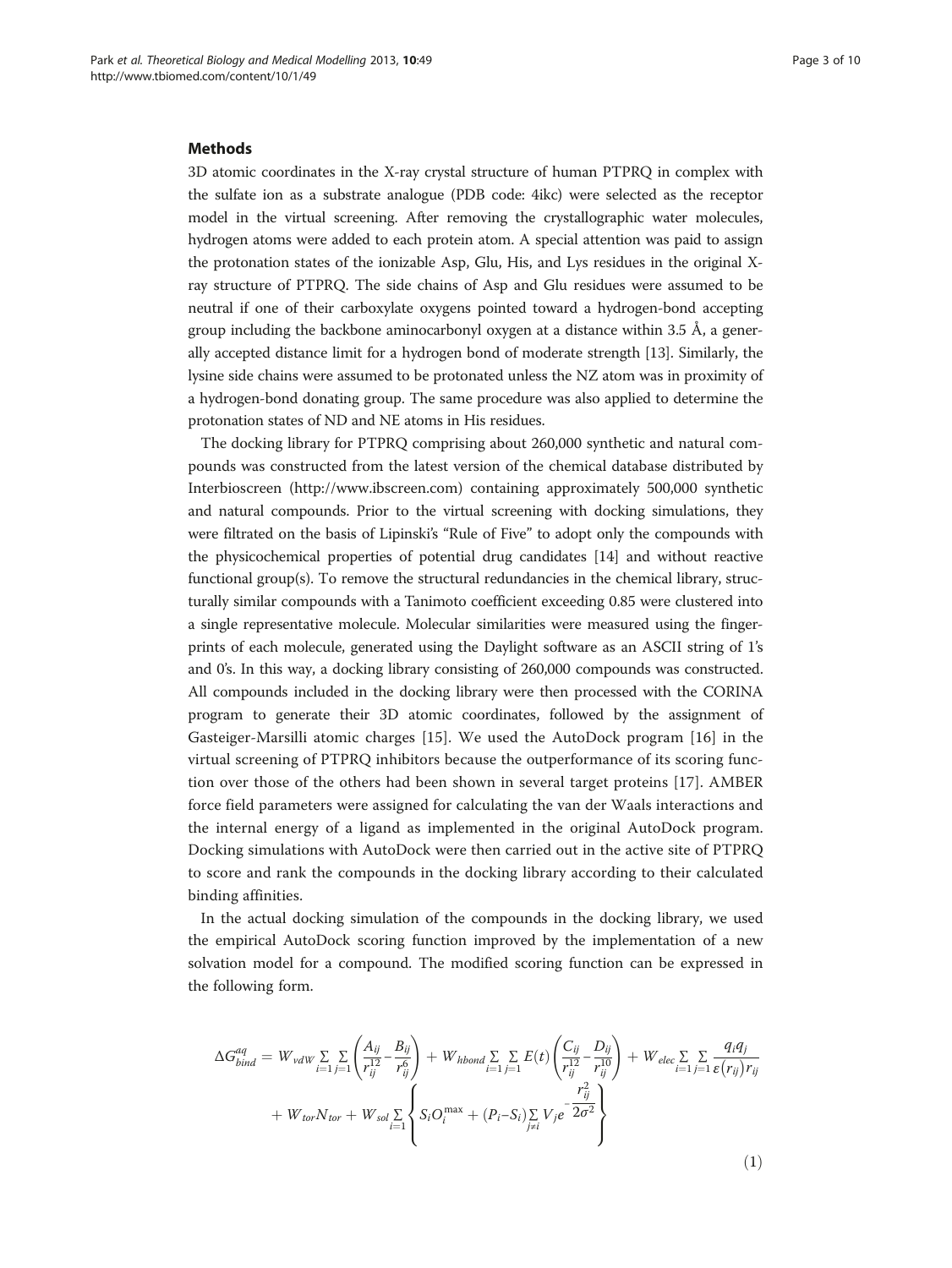## <span id="page-2-0"></span>**Methods**

3D atomic coordinates in the X-ray crystal structure of human PTPRQ in complex with the sulfate ion as a substrate analogue (PDB code: 4ikc) were selected as the receptor model in the virtual screening. After removing the crystallographic water molecules, hydrogen atoms were added to each protein atom. A special attention was paid to assign the protonation states of the ionizable Asp, Glu, His, and Lys residues in the original Xray structure of PTPRQ. The side chains of Asp and Glu residues were assumed to be neutral if one of their carboxylate oxygens pointed toward a hydrogen-bond accepting group including the backbone aminocarbonyl oxygen at a distance within 3.5 Å, a generally accepted distance limit for a hydrogen bond of moderate strength [[13](#page-9-0)]. Similarly, the lysine side chains were assumed to be protonated unless the NZ atom was in proximity of a hydrogen-bond donating group. The same procedure was also applied to determine the protonation states of ND and NE atoms in His residues.

The docking library for PTPRQ comprising about 260,000 synthetic and natural compounds was constructed from the latest version of the chemical database distributed by Interbioscreen [\(http://www.ibscreen.com\)](http://www.ibscreen.com/) containing approximately 500,000 synthetic and natural compounds. Prior to the virtual screening with docking simulations, they were filtrated on the basis of Lipinski's "Rule of Five" to adopt only the compounds with the physicochemical properties of potential drug candidates [[14](#page-9-0)] and without reactive functional group(s). To remove the structural redundancies in the chemical library, structurally similar compounds with a Tanimoto coefficient exceeding 0.85 were clustered into a single representative molecule. Molecular similarities were measured using the fingerprints of each molecule, generated using the Daylight software as an ASCII string of 1's and 0's. In this way, a docking library consisting of 260,000 compounds was constructed. All compounds included in the docking library were then processed with the CORINA program to generate their 3D atomic coordinates, followed by the assignment of Gasteiger-Marsilli atomic charges [\[15](#page-9-0)]. We used the AutoDock program [\[16](#page-9-0)] in the virtual screening of PTPRQ inhibitors because the outperformance of its scoring function over those of the others had been shown in several target proteins [[17\]](#page-9-0). AMBER force field parameters were assigned for calculating the van der Waals interactions and the internal energy of a ligand as implemented in the original AutoDock program. Docking simulations with AutoDock were then carried out in the active site of PTPRQ to score and rank the compounds in the docking library according to their calculated binding affinities.

In the actual docking simulation of the compounds in the docking library, we used the empirical AutoDock scoring function improved by the implementation of a new solvation model for a compound. The modified scoring function can be expressed in the following form.

$$
\Delta G_{bind}^{aq} = W_{vdW} \sum_{i=1} \sum_{j=1} \left( \frac{A_{ij}}{r_{ij}^{12}} - \frac{B_{ij}}{r_{ij}^6} \right) + W_{hbond} \sum_{i=1} \sum_{j=1} E(t) \left( \frac{C_{ij}}{r_{ij}^{12}} - \frac{D_{ij}}{r_{ij}^{10}} \right) + W_{elec} \sum_{i=1} \sum_{j=1} \sum_{\varepsilon} \frac{q_i q_j}{\varepsilon(r_{ij}) r_{ij}} + W_{tor} N_{tor} + W_{sol} \sum_{i=1} \left\{ S_i O_i^{\max} + (P_i - S_i) \sum_{j \neq i} V_j e^{-\frac{r_{ij}^2}{2\sigma^2}} \right\}
$$
\n
$$
(1)
$$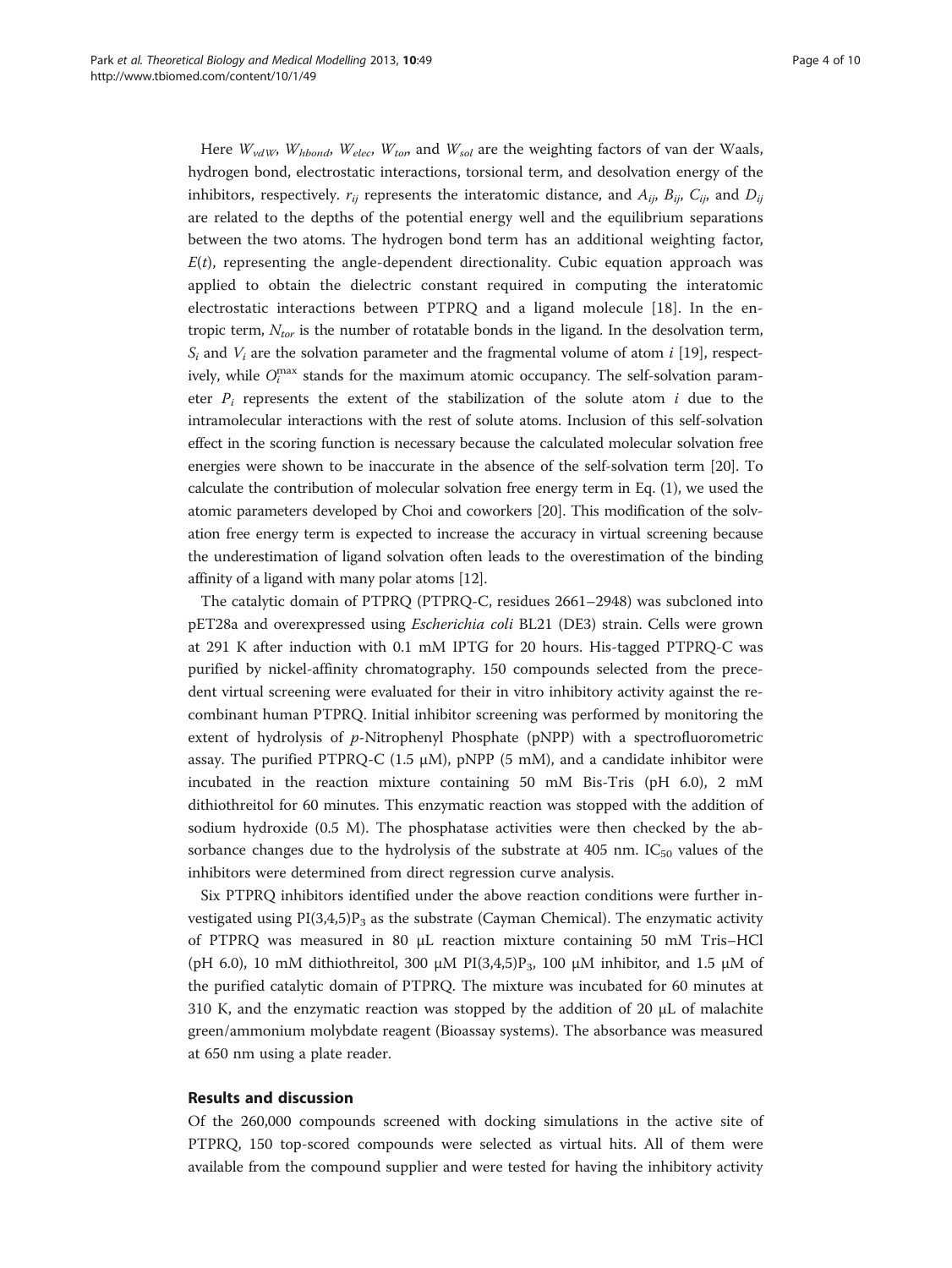Here  $W_{vdW}$ ,  $W_{hbond}$ ,  $W_{elec}$ ,  $W_{ton}$  and  $W_{sol}$  are the weighting factors of van der Waals, hydrogen bond, electrostatic interactions, torsional term, and desolvation energy of the inhibitors, respectively.  $r_{ij}$  represents the interatomic distance, and  $A_{ij}$ ,  $B_{ij}$ ,  $C_{ij}$ , and  $D_{ij}$ are related to the depths of the potential energy well and the equilibrium separations between the two atoms. The hydrogen bond term has an additional weighting factor,  $E(t)$ , representing the angle-dependent directionality. Cubic equation approach was applied to obtain the dielectric constant required in computing the interatomic electrostatic interactions between PTPRQ and a ligand molecule [[18\]](#page-9-0). In the entropic term,  $N_{tor}$  is the number of rotatable bonds in the ligand. In the desolvation term,  $S_i$  and  $V_i$  are the solvation parameter and the fragmental volume of atom i [[19](#page-9-0)], respectively, while  $O_i^{\max}$  stands for the maximum atomic occupancy. The self-solvation parameter  $P_i$  represents the extent of the stabilization of the solute atom  $i$  due to the intramolecular interactions with the rest of solute atoms. Inclusion of this self-solvation effect in the scoring function is necessary because the calculated molecular solvation free energies were shown to be inaccurate in the absence of the self-solvation term [[20](#page-9-0)]. To calculate the contribution of molecular solvation free energy term in Eq. [\(1](#page-2-0)), we used the atomic parameters developed by Choi and coworkers [\[20\]](#page-9-0). This modification of the solvation free energy term is expected to increase the accuracy in virtual screening because the underestimation of ligand solvation often leads to the overestimation of the binding affinity of a ligand with many polar atoms [\[12\]](#page-9-0).

The catalytic domain of PTPRQ (PTPRQ-C, residues 2661–2948) was subcloned into pET28a and overexpressed using Escherichia coli BL21 (DE3) strain. Cells were grown at 291 K after induction with 0.1 mM IPTG for 20 hours. His-tagged PTPRQ-C was purified by nickel-affinity chromatography. 150 compounds selected from the precedent virtual screening were evaluated for their in vitro inhibitory activity against the recombinant human PTPRQ. Initial inhibitor screening was performed by monitoring the extent of hydrolysis of p-Nitrophenyl Phosphate (pNPP) with a spectrofluorometric assay. The purified PTPRQ-C (1.5  $\mu$ M), pNPP (5 mM), and a candidate inhibitor were incubated in the reaction mixture containing 50 mM Bis-Tris (pH 6.0), 2 mM dithiothreitol for 60 minutes. This enzymatic reaction was stopped with the addition of sodium hydroxide (0.5 M). The phosphatase activities were then checked by the absorbance changes due to the hydrolysis of the substrate at 405 nm.  $IC_{50}$  values of the inhibitors were determined from direct regression curve analysis.

Six PTPRQ inhibitors identified under the above reaction conditions were further investigated using  $PI(3,4,5)P_3$  as the substrate (Cayman Chemical). The enzymatic activity of PTPRQ was measured in 80 μL reaction mixture containing 50 mM Tris–HCl (pH 6.0), 10 mM dithiothreitol, 300  $\mu$ M PI(3,4,5)P<sub>3</sub>, 100  $\mu$ M inhibitor, and 1.5  $\mu$ M of the purified catalytic domain of PTPRQ. The mixture was incubated for 60 minutes at 310 K, and the enzymatic reaction was stopped by the addition of 20 μL of malachite green/ammonium molybdate reagent (Bioassay systems). The absorbance was measured at 650 nm using a plate reader.

## Results and discussion

Of the 260,000 compounds screened with docking simulations in the active site of PTPRQ, 150 top-scored compounds were selected as virtual hits. All of them were available from the compound supplier and were tested for having the inhibitory activity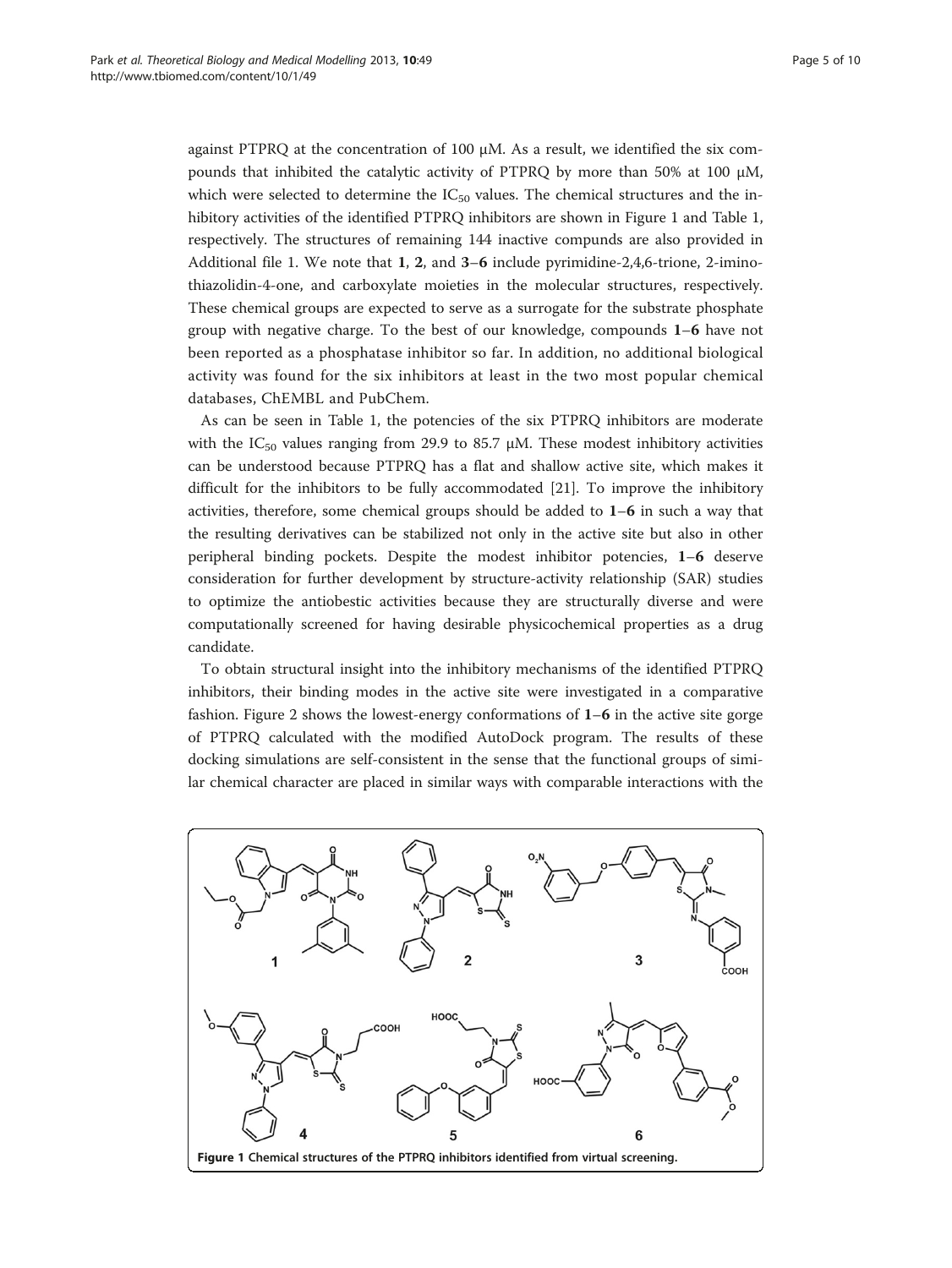against PTPRQ at the concentration of 100  $\mu$ M. As a result, we identified the six compounds that inhibited the catalytic activity of PTPRQ by more than 50% at 100  $\mu$ M, which were selected to determine the  $IC_{50}$  values. The chemical structures and the inhibitory activities of the identified PTPRQ inhibitors are shown in Figure 1 and Table [1](#page-5-0), respectively. The structures of remaining 144 inactive compunds are also provided in Additional file [1.](#page-8-0) We note that 1, 2, and 3–6 include pyrimidine-2,4,6-trione, 2-iminothiazolidin-4-one, and carboxylate moieties in the molecular structures, respectively. These chemical groups are expected to serve as a surrogate for the substrate phosphate group with negative charge. To the best of our knowledge, compounds 1–6 have not been reported as a phosphatase inhibitor so far. In addition, no additional biological activity was found for the six inhibitors at least in the two most popular chemical databases, ChEMBL and PubChem.

As can be seen in Table [1](#page-5-0), the potencies of the six PTPRQ inhibitors are moderate with the IC<sub>50</sub> values ranging from 29.9 to 85.7  $\mu$ M. These modest inhibitory activities can be understood because PTPRQ has a flat and shallow active site, which makes it difficult for the inhibitors to be fully accommodated [[21](#page-9-0)]. To improve the inhibitory activities, therefore, some chemical groups should be added to 1–6 in such a way that the resulting derivatives can be stabilized not only in the active site but also in other peripheral binding pockets. Despite the modest inhibitor potencies, 1–6 deserve consideration for further development by structure-activity relationship (SAR) studies to optimize the antiobestic activities because they are structurally diverse and were computationally screened for having desirable physicochemical properties as a drug candidate.

To obtain structural insight into the inhibitory mechanisms of the identified PTPRQ inhibitors, their binding modes in the active site were investigated in a comparative fashion. Figure [2](#page-5-0) shows the lowest-energy conformations of  $1-6$  in the active site gorge of PTPRQ calculated with the modified AutoDock program. The results of these docking simulations are self-consistent in the sense that the functional groups of similar chemical character are placed in similar ways with comparable interactions with the

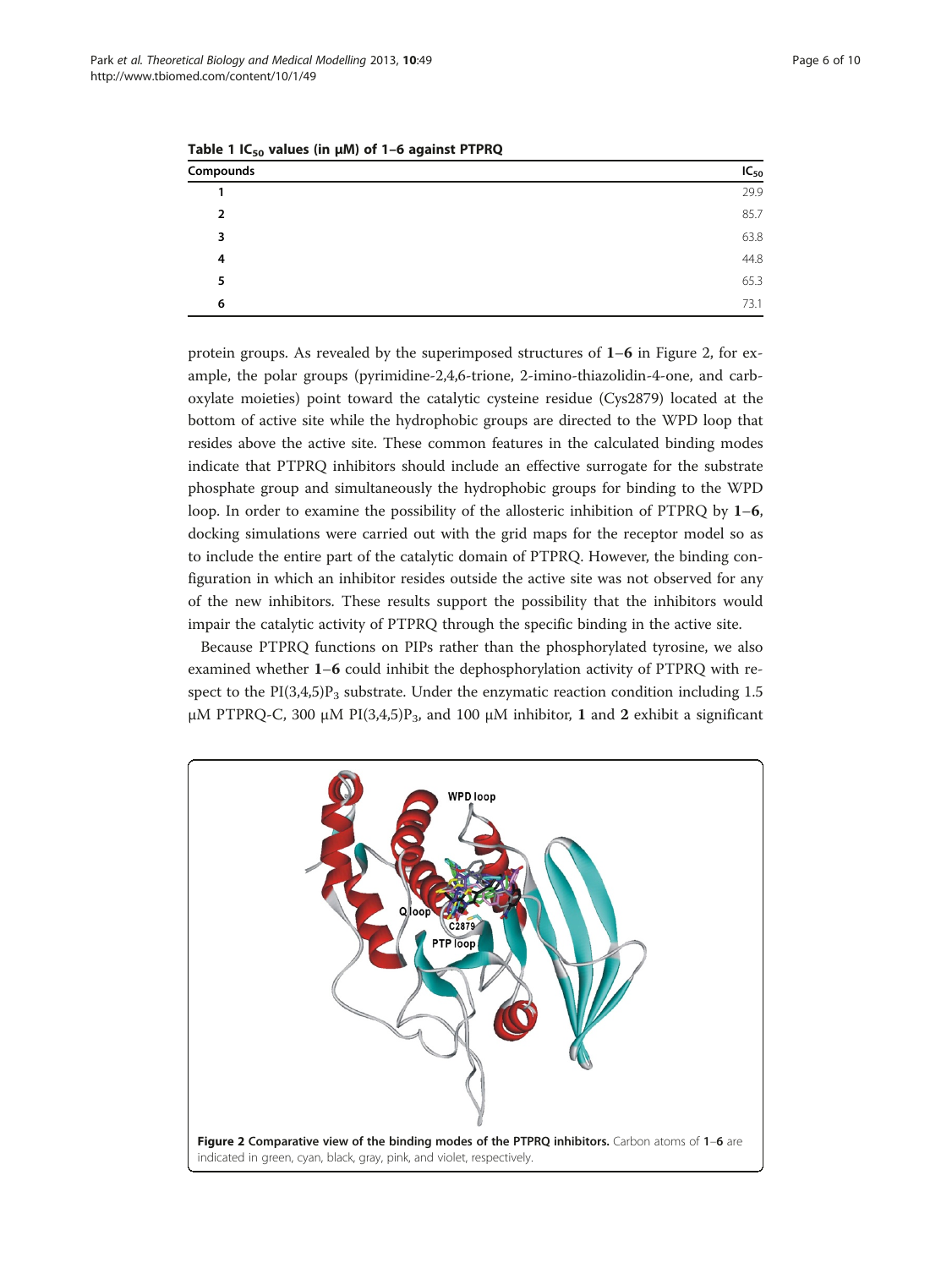| --<br>. . |           |  |
|-----------|-----------|--|
| Compounds | $IC_{50}$ |  |
|           | 29.9      |  |
| 2         | 85.7      |  |
| 3         | 63.8      |  |
| 4         | 44.8      |  |
| 5         | 65.3      |  |
| 6         | 73.1      |  |
|           |           |  |

<span id="page-5-0"></span>Table 1  $IC_{50}$  values (in  $\mu$ M) of 1–6 against PTPRQ

protein groups. As revealed by the superimposed structures of  $1-6$  in Figure 2, for example, the polar groups (pyrimidine-2,4,6-trione, 2-imino-thiazolidin-4-one, and carboxylate moieties) point toward the catalytic cysteine residue (Cys2879) located at the bottom of active site while the hydrophobic groups are directed to the WPD loop that resides above the active site. These common features in the calculated binding modes indicate that PTPRQ inhibitors should include an effective surrogate for the substrate phosphate group and simultaneously the hydrophobic groups for binding to the WPD loop. In order to examine the possibility of the allosteric inhibition of PTPRQ by 1–6, docking simulations were carried out with the grid maps for the receptor model so as to include the entire part of the catalytic domain of PTPRQ. However, the binding configuration in which an inhibitor resides outside the active site was not observed for any of the new inhibitors. These results support the possibility that the inhibitors would impair the catalytic activity of PTPRQ through the specific binding in the active site.

Because PTPRQ functions on PIPs rather than the phosphorylated tyrosine, we also examined whether 1–6 could inhibit the dephosphorylation activity of PTPRQ with respect to the  $PI(3,4,5)P_3$  substrate. Under the enzymatic reaction condition including 1.5 μM PTPRQ-C, 300 μM PI(3,4,5)P<sub>3</sub>, and 100 μM inhibitor, 1 and 2 exhibit a significant

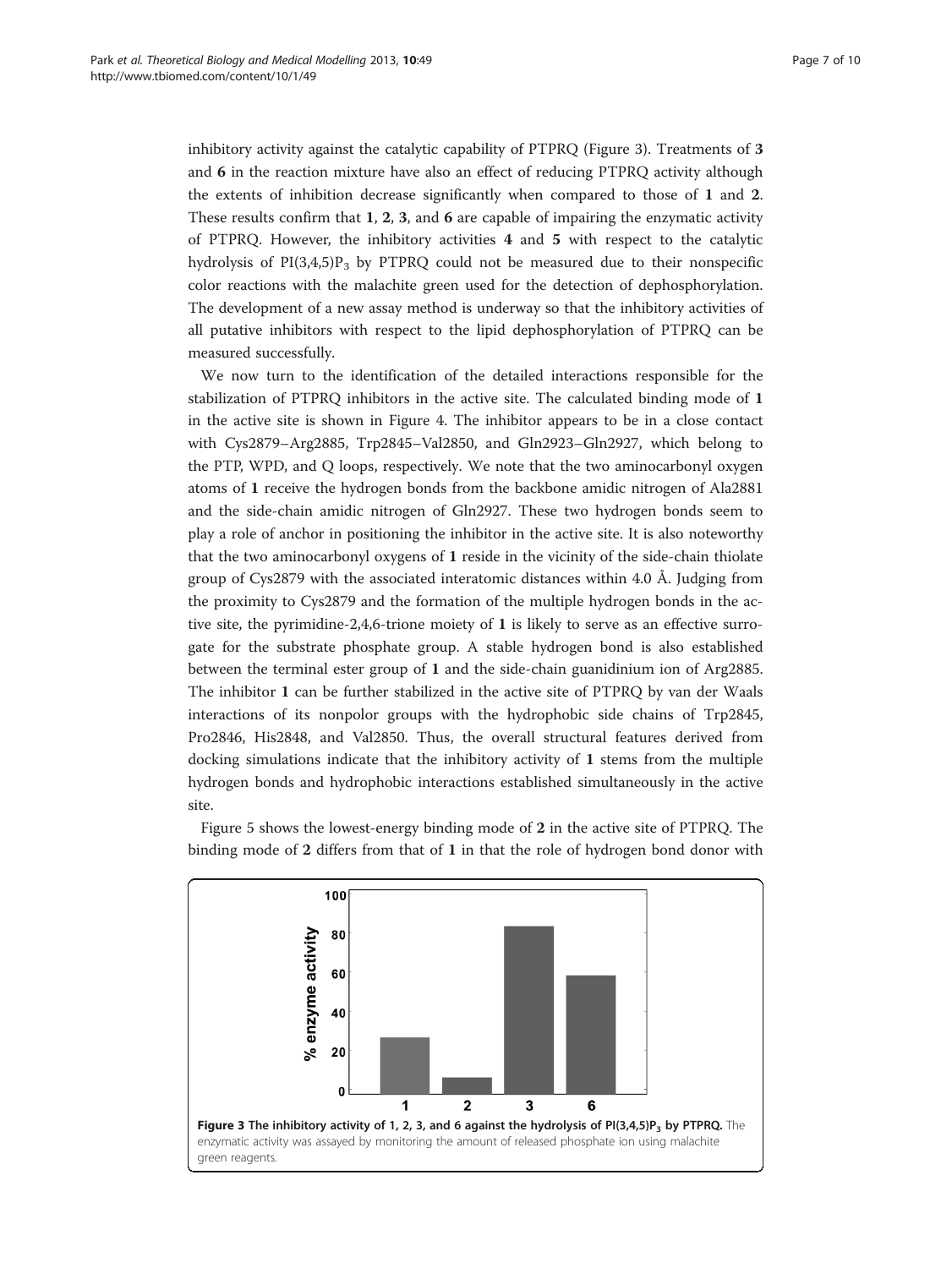inhibitory activity against the catalytic capability of PTPRQ (Figure 3). Treatments of 3 and 6 in the reaction mixture have also an effect of reducing PTPRQ activity although the extents of inhibition decrease significantly when compared to those of 1 and 2. These results confirm that 1, 2, 3, and 6 are capable of impairing the enzymatic activity of PTPRQ. However, the inhibitory activities 4 and 5 with respect to the catalytic hydrolysis of  $PI(3,4,5)P_3$  by PTPRQ could not be measured due to their nonspecific color reactions with the malachite green used for the detection of dephosphorylation. The development of a new assay method is underway so that the inhibitory activities of all putative inhibitors with respect to the lipid dephosphorylation of PTPRQ can be measured successfully.

We now turn to the identification of the detailed interactions responsible for the stabilization of PTPRQ inhibitors in the active site. The calculated binding mode of 1 in the active site is shown in Figure [4.](#page-7-0) The inhibitor appears to be in a close contact with Cys2879–Arg2885, Trp2845–Val2850, and Gln2923–Gln2927, which belong to the PTP, WPD, and Q loops, respectively. We note that the two aminocarbonyl oxygen atoms of 1 receive the hydrogen bonds from the backbone amidic nitrogen of Ala2881 and the side-chain amidic nitrogen of Gln2927. These two hydrogen bonds seem to play a role of anchor in positioning the inhibitor in the active site. It is also noteworthy that the two aminocarbonyl oxygens of 1 reside in the vicinity of the side-chain thiolate group of Cys2879 with the associated interatomic distances within 4.0 Å. Judging from the proximity to Cys2879 and the formation of the multiple hydrogen bonds in the active site, the pyrimidine-2,4,6-trione moiety of 1 is likely to serve as an effective surrogate for the substrate phosphate group. A stable hydrogen bond is also established between the terminal ester group of 1 and the side-chain guanidinium ion of Arg2885. The inhibitor 1 can be further stabilized in the active site of PTPRQ by van der Waals interactions of its nonpolor groups with the hydrophobic side chains of Trp2845, Pro2846, His2848, and Val2850. Thus, the overall structural features derived from docking simulations indicate that the inhibitory activity of 1 stems from the multiple hydrogen bonds and hydrophobic interactions established simultaneously in the active site.

Figure [5](#page-7-0) shows the lowest-energy binding mode of 2 in the active site of PTPRQ. The binding mode of 2 differs from that of 1 in that the role of hydrogen bond donor with

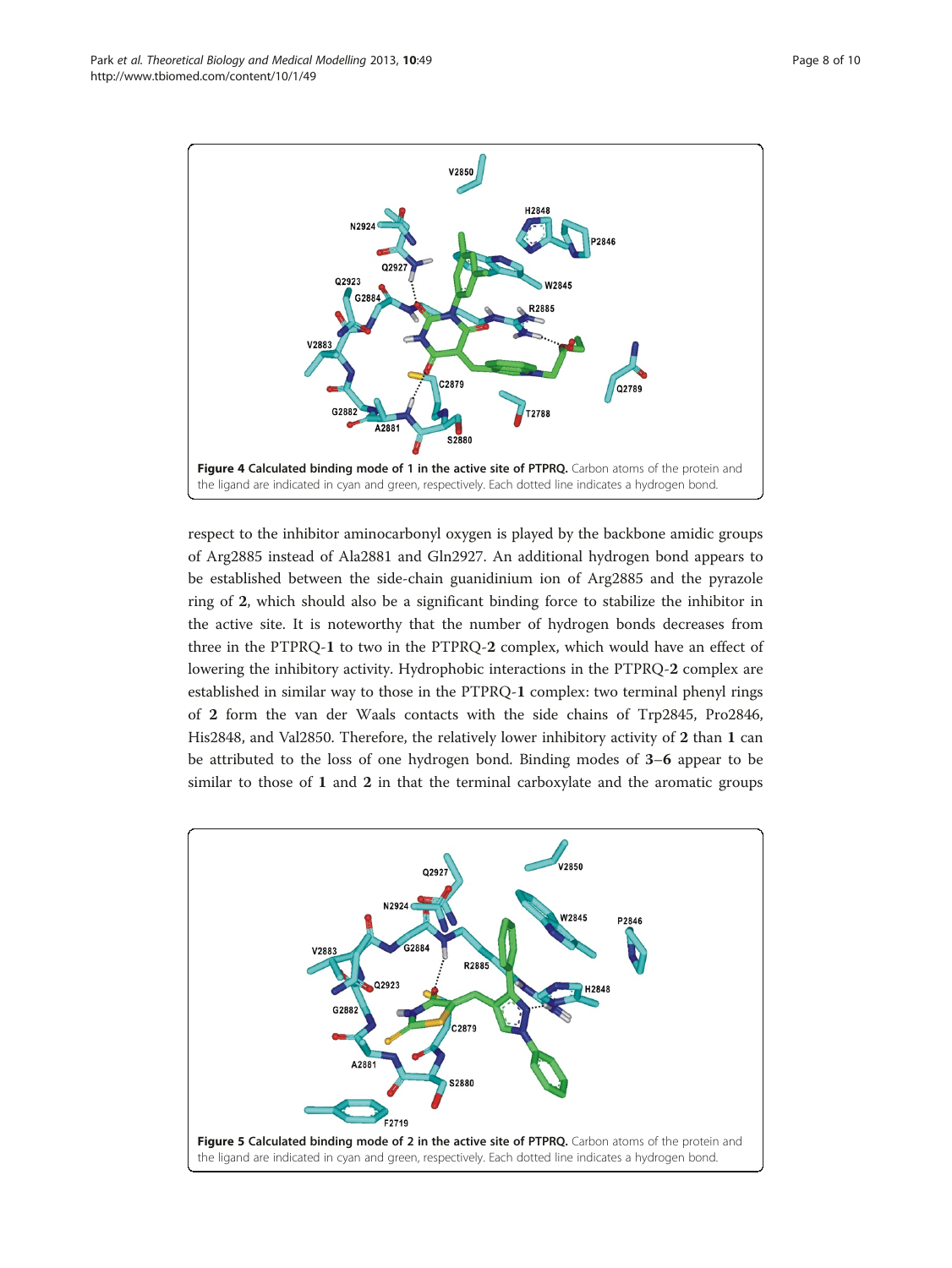

<span id="page-7-0"></span>

respect to the inhibitor aminocarbonyl oxygen is played by the backbone amidic groups of Arg2885 instead of Ala2881 and Gln2927. An additional hydrogen bond appears to be established between the side-chain guanidinium ion of Arg2885 and the pyrazole ring of 2, which should also be a significant binding force to stabilize the inhibitor in the active site. It is noteworthy that the number of hydrogen bonds decreases from three in the PTPRQ-1 to two in the PTPRQ-2 complex, which would have an effect of lowering the inhibitory activity. Hydrophobic interactions in the PTPRQ-2 complex are established in similar way to those in the PTPRQ-1 complex: two terminal phenyl rings of 2 form the van der Waals contacts with the side chains of Trp2845, Pro2846, His2848, and Val2850. Therefore, the relatively lower inhibitory activity of 2 than 1 can be attributed to the loss of one hydrogen bond. Binding modes of 3–6 appear to be similar to those of 1 and 2 in that the terminal carboxylate and the aromatic groups

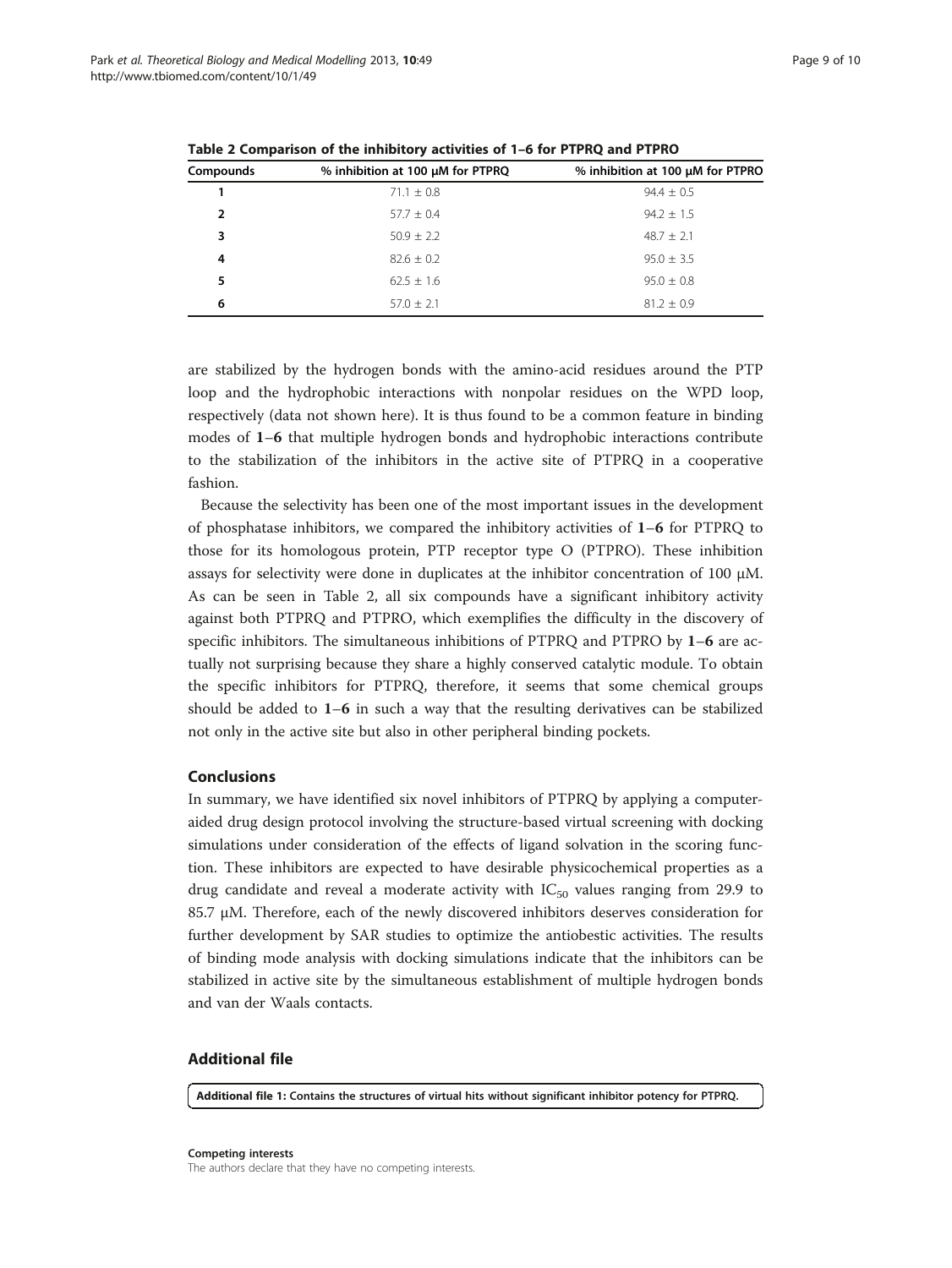| Compounds      | % inhibition at 100 µM for PTPRQ | % inhibition at 100 µM for PTPRO |
|----------------|----------------------------------|----------------------------------|
|                | $71.1 \pm 0.8$                   | $94.4 \pm 0.5$                   |
| $\overline{2}$ | $57.7 \pm 0.4$                   | $94.2 + 1.5$                     |
| 3              | $50.9 \pm 2.2$                   | $48.7 \pm 2.1$                   |
| 4              | $82.6 \pm 0.2$                   | $95.0 \pm 3.5$                   |
| 5              | $62.5 \pm 1.6$                   | $95.0 \pm 0.8$                   |
| 6              | $57.0 + 2.1$                     | $81.2 + 0.9$                     |

<span id="page-8-0"></span>Table 2 Comparison of the inhibitory activities of 1–6 for PTPRQ and PTPRO

are stabilized by the hydrogen bonds with the amino-acid residues around the PTP loop and the hydrophobic interactions with nonpolar residues on the WPD loop, respectively (data not shown here). It is thus found to be a common feature in binding modes of 1–6 that multiple hydrogen bonds and hydrophobic interactions contribute to the stabilization of the inhibitors in the active site of PTPRQ in a cooperative fashion.

Because the selectivity has been one of the most important issues in the development of phosphatase inhibitors, we compared the inhibitory activities of 1–6 for PTPRQ to those for its homologous protein, PTP receptor type O (PTPRO). These inhibition assays for selectivity were done in duplicates at the inhibitor concentration of 100 μM. As can be seen in Table 2, all six compounds have a significant inhibitory activity against both PTPRQ and PTPRO, which exemplifies the difficulty in the discovery of specific inhibitors. The simultaneous inhibitions of PTPRQ and PTPRO by 1–6 are actually not surprising because they share a highly conserved catalytic module. To obtain the specific inhibitors for PTPRQ, therefore, it seems that some chemical groups should be added to  $1-6$  in such a way that the resulting derivatives can be stabilized not only in the active site but also in other peripheral binding pockets.

## Conclusions

In summary, we have identified six novel inhibitors of PTPRQ by applying a computeraided drug design protocol involving the structure-based virtual screening with docking simulations under consideration of the effects of ligand solvation in the scoring function. These inhibitors are expected to have desirable physicochemical properties as a drug candidate and reveal a moderate activity with  $IC_{50}$  values ranging from 29.9 to 85.7 μM. Therefore, each of the newly discovered inhibitors deserves consideration for further development by SAR studies to optimize the antiobestic activities. The results of binding mode analysis with docking simulations indicate that the inhibitors can be stabilized in active site by the simultaneous establishment of multiple hydrogen bonds and van der Waals contacts.

## Additional file

[Additional file 1:](http://www.biomedcentral.com/content/supplementary/1742-4682-10-49-S1.doc) Contains the structures of virtual hits without significant inhibitor potency for PTPRQ.